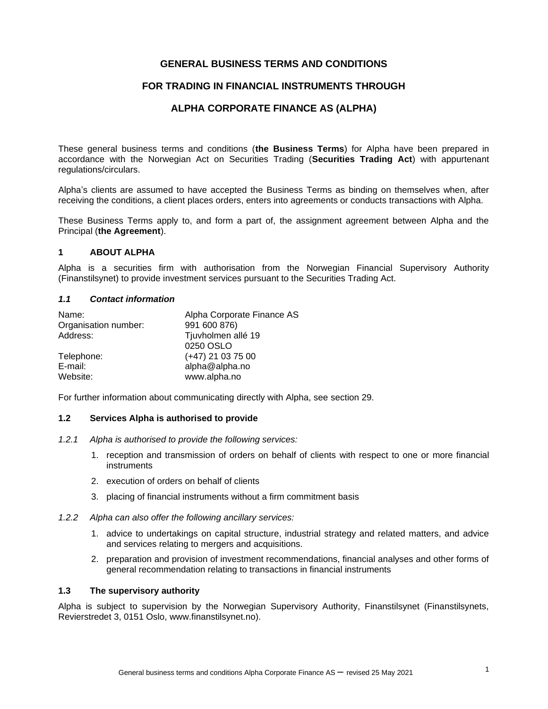# **GENERAL BUSINESS TERMS AND CONDITIONS**

## **FOR TRADING IN FINANCIAL INSTRUMENTS THROUGH**

## **ALPHA CORPORATE FINANCE AS (ALPHA)**

These general business terms and conditions (**the Business Terms**) for Alpha have been prepared in accordance with the Norwegian Act on Securities Trading (**Securities Trading Act**) with appurtenant regulations/circulars.

Alpha's clients are assumed to have accepted the Business Terms as binding on themselves when, after receiving the conditions, a client places orders, enters into agreements or conducts transactions with Alpha.

These Business Terms apply to, and form a part of, the assignment agreement between Alpha and the Principal (**the Agreement**).

#### **1 ABOUT ALPHA**

Alpha is a securities firm with authorisation from the Norwegian Financial Supervisory Authority (Finanstilsynet) to provide investment services pursuant to the Securities Trading Act.

#### *1.1 Contact information*

| Name:                | Alpha Corporate Finance AS |
|----------------------|----------------------------|
| Organisation number: | 991 600 876)               |
| Address:             | Tjuvholmen allé 19         |
|                      | 0250 OSLO                  |
| Telephone:           | $(+47)$ 21 03 75 00        |
| E-mail:              | alpha@alpha.no             |
| Website:             | www.alpha.no               |

For further information about communicating directly with Alpha, see section 29.

#### **1.2 Services Alpha is authorised to provide**

- *1.2.1 Alpha is authorised to provide the following services:*
	- 1. reception and transmission of orders on behalf of clients with respect to one or more financial instruments
	- 2. execution of orders on behalf of clients
	- 3. placing of financial instruments without a firm commitment basis
- *1.2.2 Alpha can also offer the following ancillary services:*
	- 1. advice to undertakings on capital structure, industrial strategy and related matters, and advice and services relating to mergers and acquisitions.
	- 2. preparation and provision of investment recommendations, financial analyses and other forms of general recommendation relating to transactions in financial instruments

## **1.3 The supervisory authority**

Alpha is subject to supervision by the Norwegian Supervisory Authority, Finanstilsynet (Finanstilsynets, Revierstredet 3, 0151 Oslo, www.finanstilsynet.no).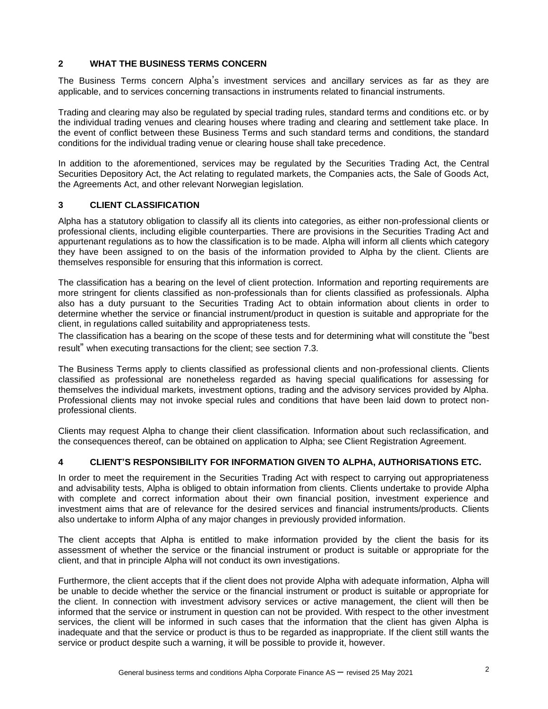# **2 WHAT THE BUSINESS TERMS CONCERN**

The Business Terms concern Alpha's investment services and ancillary services as far as they are applicable, and to services concerning transactions in instruments related to financial instruments.

Trading and clearing may also be regulated by special trading rules, standard terms and conditions etc. or by the individual trading venues and clearing houses where trading and clearing and settlement take place. In the event of conflict between these Business Terms and such standard terms and conditions, the standard conditions for the individual trading venue or clearing house shall take precedence.

In addition to the aforementioned, services may be regulated by the Securities Trading Act, the Central Securities Depository Act, the Act relating to regulated markets, the Companies acts, the Sale of Goods Act, the Agreements Act, and other relevant Norwegian legislation.

# **3 CLIENT CLASSIFICATION**

Alpha has a statutory obligation to classify all its clients into categories, as either non-professional clients or professional clients, including eligible counterparties. There are provisions in the Securities Trading Act and appurtenant regulations as to how the classification is to be made. Alpha will inform all clients which category they have been assigned to on the basis of the information provided to Alpha by the client. Clients are themselves responsible for ensuring that this information is correct.

The classification has a bearing on the level of client protection. Information and reporting requirements are more stringent for clients classified as non-professionals than for clients classified as professionals. Alpha also has a duty pursuant to the Securities Trading Act to obtain information about clients in order to determine whether the service or financial instrument/product in question is suitable and appropriate for the client, in regulations called suitability and appropriateness tests.

The classification has a bearing on the scope of these tests and for determining what will constitute the "best result" when executing transactions for the client; see section 7.3.

The Business Terms apply to clients classified as professional clients and non-professional clients. Clients classified as professional are nonetheless regarded as having special qualifications for assessing for themselves the individual markets, investment options, trading and the advisory services provided by Alpha. Professional clients may not invoke special rules and conditions that have been laid down to protect nonprofessional clients.

Clients may request Alpha to change their client classification. Information about such reclassification, and the consequences thereof, can be obtained on application to Alpha; see Client Registration Agreement.

# **4 CLIENT'S RESPONSIBILITY FOR INFORMATION GIVEN TO ALPHA, AUTHORISATIONS ETC.**

In order to meet the requirement in the Securities Trading Act with respect to carrying out appropriateness and advisability tests, Alpha is obliged to obtain information from clients. Clients undertake to provide Alpha with complete and correct information about their own financial position, investment experience and investment aims that are of relevance for the desired services and financial instruments/products. Clients also undertake to inform Alpha of any major changes in previously provided information.

The client accepts that Alpha is entitled to make information provided by the client the basis for its assessment of whether the service or the financial instrument or product is suitable or appropriate for the client, and that in principle Alpha will not conduct its own investigations.

Furthermore, the client accepts that if the client does not provide Alpha with adequate information, Alpha will be unable to decide whether the service or the financial instrument or product is suitable or appropriate for the client. In connection with investment advisory services or active management, the client will then be informed that the service or instrument in question can not be provided. With respect to the other investment services, the client will be informed in such cases that the information that the client has given Alpha is inadequate and that the service or product is thus to be regarded as inappropriate. If the client still wants the service or product despite such a warning, it will be possible to provide it, however.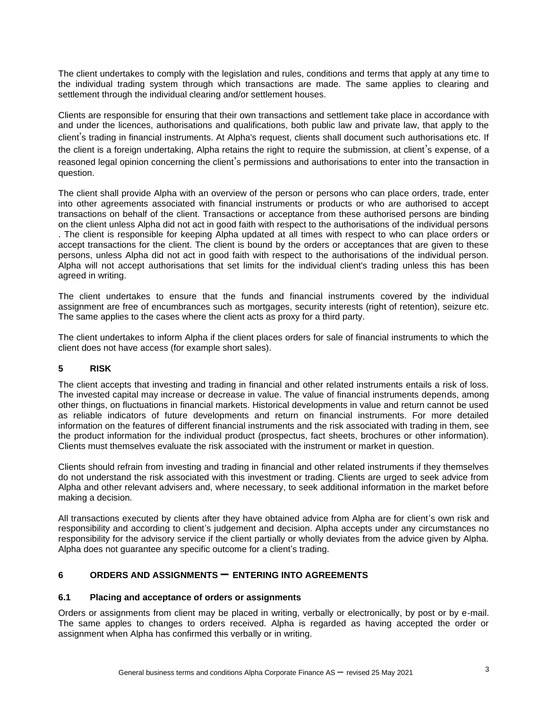The client undertakes to comply with the legislation and rules, conditions and terms that apply at any time to the individual trading system through which transactions are made. The same applies to clearing and settlement through the individual clearing and/or settlement houses.

Clients are responsible for ensuring that their own transactions and settlement take place in accordance with and under the licences, authorisations and qualifications, both public law and private law, that apply to the client's trading in financial instruments. At Alpha's request, clients shall document such authorisations etc. If the client is a foreign undertaking, Alpha retains the right to require the submission, at client's expense, of a reasoned legal opinion concerning the client's permissions and authorisations to enter into the transaction in question.

The client shall provide Alpha with an overview of the person or persons who can place orders, trade, enter into other agreements associated with financial instruments or products or who are authorised to accept transactions on behalf of the client. Transactions or acceptance from these authorised persons are binding on the client unless Alpha did not act in good faith with respect to the authorisations of the individual persons . The client is responsible for keeping Alpha updated at all times with respect to who can place orders or accept transactions for the client. The client is bound by the orders or acceptances that are given to these persons, unless Alpha did not act in good faith with respect to the authorisations of the individual person. Alpha will not accept authorisations that set limits for the individual client's trading unless this has been agreed in writing.

The client undertakes to ensure that the funds and financial instruments covered by the individual assignment are free of encumbrances such as mortgages, security interests (right of retention), seizure etc. The same applies to the cases where the client acts as proxy for a third party.

The client undertakes to inform Alpha if the client places orders for sale of financial instruments to which the client does not have access (for example short sales).

# **5 RISK**

The client accepts that investing and trading in financial and other related instruments entails a risk of loss. The invested capital may increase or decrease in value. The value of financial instruments depends, among other things, on fluctuations in financial markets. Historical developments in value and return cannot be used as reliable indicators of future developments and return on financial instruments. For more detailed information on the features of different financial instruments and the risk associated with trading in them, see the product information for the individual product (prospectus, fact sheets, brochures or other information). Clients must themselves evaluate the risk associated with the instrument or market in question.

Clients should refrain from investing and trading in financial and other related instruments if they themselves do not understand the risk associated with this investment or trading. Clients are urged to seek advice from Alpha and other relevant advisers and, where necessary, to seek additional information in the market before making a decision.

All transactions executed by clients after they have obtained advice from Alpha are for client's own risk and responsibility and according to client's judgement and decision. Alpha accepts under any circumstances no responsibility for the advisory service if the client partially or wholly deviates from the advice given by Alpha. Alpha does not guarantee any specific outcome for a client's trading.

# **<sup>6</sup> ORDERS AND ASSIGNMENTS – ENTERING INTO AGREEMENTS**

#### **6.1 Placing and acceptance of orders or assignments**

Orders or assignments from client may be placed in writing, verbally or electronically, by post or by e-mail. The same apples to changes to orders received. Alpha is regarded as having accepted the order or assignment when Alpha has confirmed this verbally or in writing.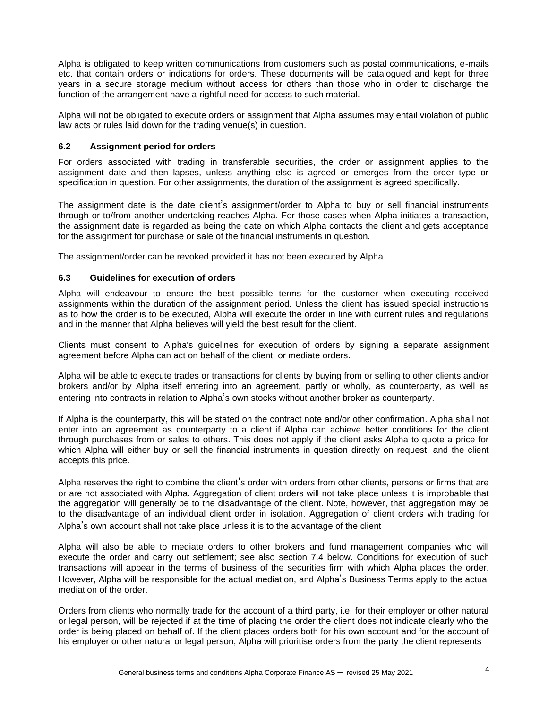Alpha is obligated to keep written communications from customers such as postal communications, e-mails etc. that contain orders or indications for orders. These documents will be catalogued and kept for three years in a secure storage medium without access for others than those who in order to discharge the function of the arrangement have a rightful need for access to such material.

Alpha will not be obligated to execute orders or assignment that Alpha assumes may entail violation of public law acts or rules laid down for the trading venue(s) in question.

## **6.2 Assignment period for orders**

For orders associated with trading in transferable securities, the order or assignment applies to the assignment date and then lapses, unless anything else is agreed or emerges from the order type or specification in question. For other assignments, the duration of the assignment is agreed specifically.

The assignment date is the date client's assignment/order to Alpha to buy or sell financial instruments through or to/from another undertaking reaches Alpha. For those cases when Alpha initiates a transaction, the assignment date is regarded as being the date on which Alpha contacts the client and gets acceptance for the assignment for purchase or sale of the financial instruments in question.

The assignment/order can be revoked provided it has not been executed by Alpha.

## **6.3 Guidelines for execution of orders**

Alpha will endeavour to ensure the best possible terms for the customer when executing received assignments within the duration of the assignment period. Unless the client has issued special instructions as to how the order is to be executed, Alpha will execute the order in line with current rules and regulations and in the manner that Alpha believes will yield the best result for the client.

Clients must consent to Alpha's guidelines for execution of orders by signing a separate assignment agreement before Alpha can act on behalf of the client, or mediate orders.

Alpha will be able to execute trades or transactions for clients by buying from or selling to other clients and/or brokers and/or by Alpha itself entering into an agreement, partly or wholly, as counterparty, as well as entering into contracts in relation to Alpha's own stocks without another broker as counterparty.

If Alpha is the counterparty, this will be stated on the contract note and/or other confirmation. Alpha shall not enter into an agreement as counterparty to a client if Alpha can achieve better conditions for the client through purchases from or sales to others. This does not apply if the client asks Alpha to quote a price for which Alpha will either buy or sell the financial instruments in question directly on request, and the client accepts this price.

Alpha reserves the right to combine the client's order with orders from other clients, persons or firms that are or are not associated with Alpha. Aggregation of client orders will not take place unless it is improbable that the aggregation will generally be to the disadvantage of the client. Note, however, that aggregation may be to the disadvantage of an individual client order in isolation. Aggregation of client orders with trading for Alpha's own account shall not take place unless it is to the advantage of the client

Alpha will also be able to mediate orders to other brokers and fund management companies who will execute the order and carry out settlement; see also section 7.4 below. Conditions for execution of such transactions will appear in the terms of business of the securities firm with which Alpha places the order. However, Alpha will be responsible for the actual mediation, and Alpha's Business Terms apply to the actual mediation of the order.

Orders from clients who normally trade for the account of a third party, i.e. for their employer or other natural or legal person, will be rejected if at the time of placing the order the client does not indicate clearly who the order is being placed on behalf of. If the client places orders both for his own account and for the account of his employer or other natural or legal person, Alpha will prioritise orders from the party the client represents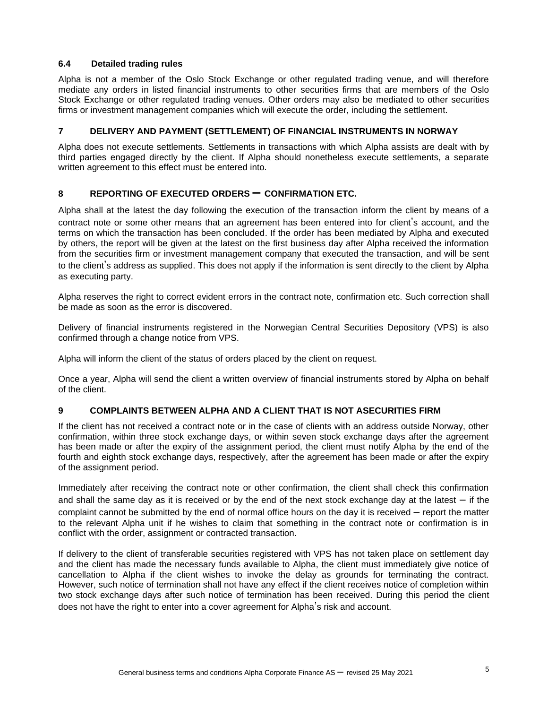## **6.4 Detailed trading rules**

Alpha is not a member of the Oslo Stock Exchange or other regulated trading venue, and will therefore mediate any orders in listed financial instruments to other securities firms that are members of the Oslo Stock Exchange or other regulated trading venues. Other orders may also be mediated to other securities firms or investment management companies which will execute the order, including the settlement.

# **7 DELIVERY AND PAYMENT (SETTLEMENT) OF FINANCIAL INSTRUMENTS IN NORWAY**

Alpha does not execute settlements. Settlements in transactions with which Alpha assists are dealt with by third parties engaged directly by the client. If Alpha should nonetheless execute settlements, a separate written agreement to this effect must be entered into.

# **<sup>8</sup> REPORTING OF EXECUTED ORDERS – CONFIRMATION ETC.**

Alpha shall at the latest the day following the execution of the transaction inform the client by means of a contract note or some other means that an agreement has been entered into for client's account, and the terms on which the transaction has been concluded. If the order has been mediated by Alpha and executed by others, the report will be given at the latest on the first business day after Alpha received the information from the securities firm or investment management company that executed the transaction, and will be sent to the client's address as supplied. This does not apply if the information is sent directly to the client by Alpha as executing party.

Alpha reserves the right to correct evident errors in the contract note, confirmation etc. Such correction shall be made as soon as the error is discovered.

Delivery of financial instruments registered in the Norwegian Central Securities Depository (VPS) is also confirmed through a change notice from VPS.

Alpha will inform the client of the status of orders placed by the client on request.

Once a year, Alpha will send the client a written overview of financial instruments stored by Alpha on behalf of the client.

# **9 COMPLAINTS BETWEEN ALPHA AND A CLIENT THAT IS NOT ASECURITIES FIRM**

If the client has not received a contract note or in the case of clients with an address outside Norway, other confirmation, within three stock exchange days, or within seven stock exchange days after the agreement has been made or after the expiry of the assignment period, the client must notify Alpha by the end of the fourth and eighth stock exchange days, respectively, after the agreement has been made or after the expiry of the assignment period.

Immediately after receiving the contract note or other confirmation, the client shall check this confirmation and shall the same day as it is received or by the end of the next stock exchange day at the latest – if the complaint cannot be submitted by the end of normal office hours on the day it is received – report the matter to the relevant Alpha unit if he wishes to claim that something in the contract note or confirmation is in conflict with the order, assignment or contracted transaction.

If delivery to the client of transferable securities registered with VPS has not taken place on settlement day and the client has made the necessary funds available to Alpha, the client must immediately give notice of cancellation to Alpha if the client wishes to invoke the delay as grounds for terminating the contract. However, such notice of termination shall not have any effect if the client receives notice of completion within two stock exchange days after such notice of termination has been received. During this period the client does not have the right to enter into a cover agreement for Alpha's risk and account.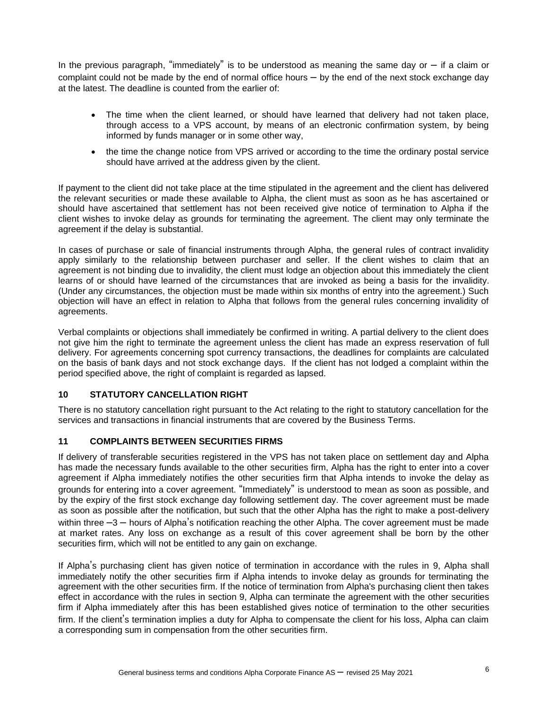In the previous paragraph, "immediately" is to be understood as meaning the same day or  $-$  if a claim or complaint could not be made by the end of normal office hours – by the end of the next stock exchange day at the latest. The deadline is counted from the earlier of:

- The time when the client learned, or should have learned that delivery had not taken place, through access to a VPS account, by means of an electronic confirmation system, by being informed by funds manager or in some other way,
- the time the change notice from VPS arrived or according to the time the ordinary postal service should have arrived at the address given by the client.

If payment to the client did not take place at the time stipulated in the agreement and the client has delivered the relevant securities or made these available to Alpha, the client must as soon as he has ascertained or should have ascertained that settlement has not been received give notice of termination to Alpha if the client wishes to invoke delay as grounds for terminating the agreement. The client may only terminate the agreement if the delay is substantial.

In cases of purchase or sale of financial instruments through Alpha, the general rules of contract invalidity apply similarly to the relationship between purchaser and seller. If the client wishes to claim that an agreement is not binding due to invalidity, the client must lodge an objection about this immediately the client learns of or should have learned of the circumstances that are invoked as being a basis for the invalidity. (Under any circumstances, the objection must be made within six months of entry into the agreement.) Such objection will have an effect in relation to Alpha that follows from the general rules concerning invalidity of agreements.

Verbal complaints or objections shall immediately be confirmed in writing. A partial delivery to the client does not give him the right to terminate the agreement unless the client has made an express reservation of full delivery. For agreements concerning spot currency transactions, the deadlines for complaints are calculated on the basis of bank days and not stock exchange days. If the client has not lodged a complaint within the period specified above, the right of complaint is regarded as lapsed.

# **10 STATUTORY CANCELLATION RIGHT**

There is no statutory cancellation right pursuant to the Act relating to the right to statutory cancellation for the services and transactions in financial instruments that are covered by the Business Terms.

#### **11 COMPLAINTS BETWEEN SECURITIES FIRMS**

If delivery of transferable securities registered in the VPS has not taken place on settlement day and Alpha has made the necessary funds available to the other securities firm, Alpha has the right to enter into a cover agreement if Alpha immediately notifies the other securities firm that Alpha intends to invoke the delay as grounds for entering into a cover agreement. "Immediately" is understood to mean as soon as possible, and by the expiry of the first stock exchange day following settlement day. The cover agreement must be made as soon as possible after the notification, but such that the other Alpha has the right to make a post-delivery within three  $-3$  – hours of Alpha's notification reaching the other Alpha. The cover agreement must be made at market rates. Any loss on exchange as a result of this cover agreement shall be born by the other securities firm, which will not be entitled to any gain on exchange.

If Alpha's purchasing client has given notice of termination in accordance with the rules in 9, Alpha shall immediately notify the other securities firm if Alpha intends to invoke delay as grounds for terminating the agreement with the other securities firm. If the notice of termination from Alpha's purchasing client then takes effect in accordance with the rules in section 9, Alpha can terminate the agreement with the other securities firm if Alpha immediately after this has been established gives notice of termination to the other securities firm. If the client's termination implies a duty for Alpha to compensate the client for his loss, Alpha can claim a corresponding sum in compensation from the other securities firm.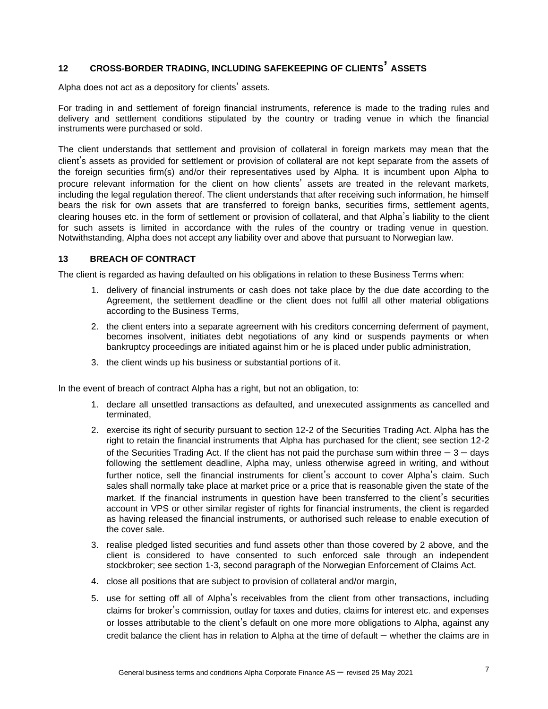# **<sup>12</sup> CROSS-BORDER TRADING, INCLUDING SAFEKEEPING OF CLIENTS' ASSETS**

Alpha does not act as a depository for clients' assets.

For trading in and settlement of foreign financial instruments, reference is made to the trading rules and delivery and settlement conditions stipulated by the country or trading venue in which the financial instruments were purchased or sold.

The client understands that settlement and provision of collateral in foreign markets may mean that the client's assets as provided for settlement or provision of collateral are not kept separate from the assets of the foreign securities firm(s) and/or their representatives used by Alpha. It is incumbent upon Alpha to procure relevant information for the client on how clients' assets are treated in the relevant markets, including the legal regulation thereof. The client understands that after receiving such information, he himself bears the risk for own assets that are transferred to foreign banks, securities firms, settlement agents, clearing houses etc. in the form of settlement or provision of collateral, and that Alpha's liability to the client for such assets is limited in accordance with the rules of the country or trading venue in question. Notwithstanding, Alpha does not accept any liability over and above that pursuant to Norwegian law.

## **13 BREACH OF CONTRACT**

The client is regarded as having defaulted on his obligations in relation to these Business Terms when:

- 1. delivery of financial instruments or cash does not take place by the due date according to the Agreement, the settlement deadline or the client does not fulfil all other material obligations according to the Business Terms,
- 2. the client enters into a separate agreement with his creditors concerning deferment of payment, becomes insolvent, initiates debt negotiations of any kind or suspends payments or when bankruptcy proceedings are initiated against him or he is placed under public administration,
- 3. the client winds up his business or substantial portions of it.

In the event of breach of contract Alpha has a right, but not an obligation, to:

- 1. declare all unsettled transactions as defaulted, and unexecuted assignments as cancelled and terminated,
- 2. exercise its right of security pursuant to section 12-2 of the Securities Trading Act. Alpha has the right to retain the financial instruments that Alpha has purchased for the client; see section 12-2 of the Securities Trading Act. If the client has not paid the purchase sum within three  $-3 -$  days following the settlement deadline, Alpha may, unless otherwise agreed in writing, and without further notice, sell the financial instruments for client's account to cover Alpha's claim. Such sales shall normally take place at market price or a price that is reasonable given the state of the market. If the financial instruments in question have been transferred to the client's securities account in VPS or other similar register of rights for financial instruments, the client is regarded as having released the financial instruments, or authorised such release to enable execution of the cover sale.
- 3. realise pledged listed securities and fund assets other than those covered by 2 above, and the client is considered to have consented to such enforced sale through an independent stockbroker; see section 1-3, second paragraph of the Norwegian Enforcement of Claims Act.
- 4. close all positions that are subject to provision of collateral and/or margin,
- 5. use for setting off all of Alpha's receivables from the client from other transactions, including claims for broker's commission, outlay for taxes and duties, claims for interest etc. and expenses or losses attributable to the client's default on one more more obligations to Alpha, against any credit balance the client has in relation to Alpha at the time of default – whether the claims are in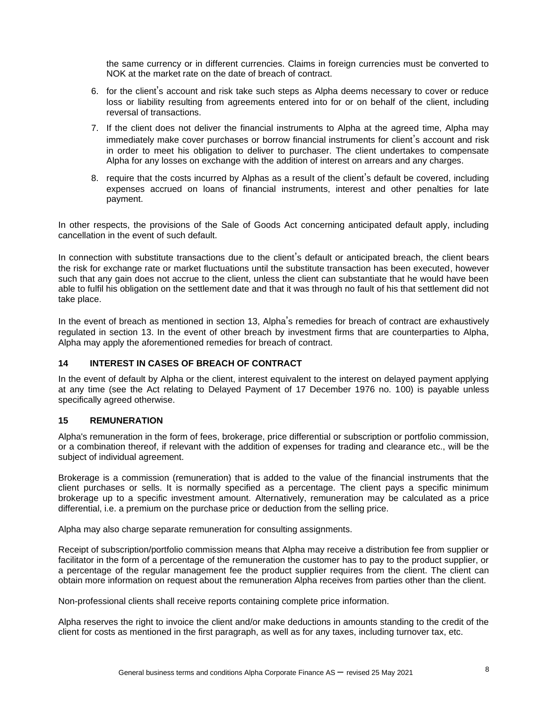the same currency or in different currencies. Claims in foreign currencies must be converted to NOK at the market rate on the date of breach of contract.

- 6. for the client's account and risk take such steps as Alpha deems necessary to cover or reduce loss or liability resulting from agreements entered into for or on behalf of the client, including reversal of transactions.
- 7. If the client does not deliver the financial instruments to Alpha at the agreed time, Alpha may immediately make cover purchases or borrow financial instruments for client's account and risk in order to meet his obligation to deliver to purchaser. The client undertakes to compensate Alpha for any losses on exchange with the addition of interest on arrears and any charges.
- 8. require that the costs incurred by Alphas as a result of the client's default be covered, including expenses accrued on loans of financial instruments, interest and other penalties for late payment.

In other respects, the provisions of the Sale of Goods Act concerning anticipated default apply, including cancellation in the event of such default.

In connection with substitute transactions due to the client's default or anticipated breach, the client bears the risk for exchange rate or market fluctuations until the substitute transaction has been executed, however such that any gain does not accrue to the client, unless the client can substantiate that he would have been able to fulfil his obligation on the settlement date and that it was through no fault of his that settlement did not take place.

In the event of breach as mentioned in section 13, Alpha's remedies for breach of contract are exhaustively regulated in section 13. In the event of other breach by investment firms that are counterparties to Alpha, Alpha may apply the aforementioned remedies for breach of contract.

# **14 INTEREST IN CASES OF BREACH OF CONTRACT**

In the event of default by Alpha or the client, interest equivalent to the interest on delayed payment applying at any time (see the Act relating to Delayed Payment of 17 December 1976 no. 100) is payable unless specifically agreed otherwise.

#### **15 REMUNERATION**

Alpha's remuneration in the form of fees, brokerage, price differential or subscription or portfolio commission, or a combination thereof, if relevant with the addition of expenses for trading and clearance etc., will be the subject of individual agreement.

Brokerage is a commission (remuneration) that is added to the value of the financial instruments that the client purchases or sells. It is normally specified as a percentage. The client pays a specific minimum brokerage up to a specific investment amount. Alternatively, remuneration may be calculated as a price differential, i.e. a premium on the purchase price or deduction from the selling price.

Alpha may also charge separate remuneration for consulting assignments.

Receipt of subscription/portfolio commission means that Alpha may receive a distribution fee from supplier or facilitator in the form of a percentage of the remuneration the customer has to pay to the product supplier, or a percentage of the regular management fee the product supplier requires from the client. The client can obtain more information on request about the remuneration Alpha receives from parties other than the client.

Non-professional clients shall receive reports containing complete price information.

Alpha reserves the right to invoice the client and/or make deductions in amounts standing to the credit of the client for costs as mentioned in the first paragraph, as well as for any taxes, including turnover tax, etc.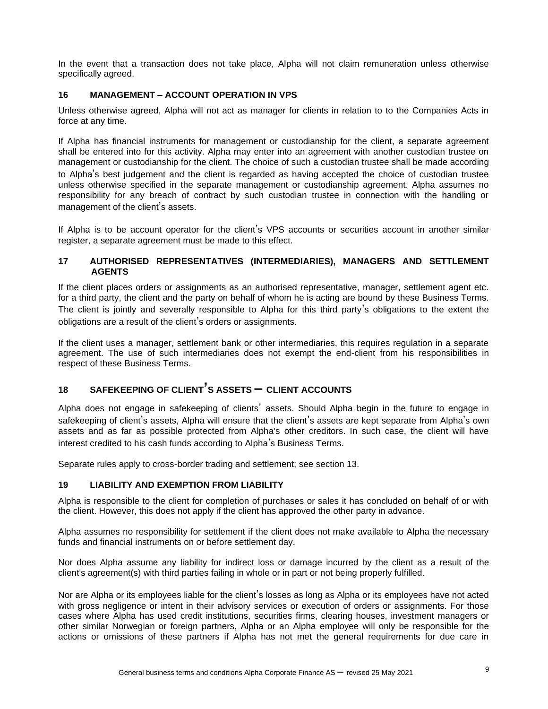In the event that a transaction does not take place, Alpha will not claim remuneration unless otherwise specifically agreed.

## **16 MANAGEMENT – ACCOUNT OPERATION IN VPS**

Unless otherwise agreed, Alpha will not act as manager for clients in relation to to the Companies Acts in force at any time.

If Alpha has financial instruments for management or custodianship for the client, a separate agreement shall be entered into for this activity. Alpha may enter into an agreement with another custodian trustee on management or custodianship for the client. The choice of such a custodian trustee shall be made according to Alpha's best judgement and the client is regarded as having accepted the choice of custodian trustee unless otherwise specified in the separate management or custodianship agreement. Alpha assumes no responsibility for any breach of contract by such custodian trustee in connection with the handling or management of the client's assets.

If Alpha is to be account operator for the client's VPS accounts or securities account in another similar register, a separate agreement must be made to this effect.

## **17 AUTHORISED REPRESENTATIVES (INTERMEDIARIES), MANAGERS AND SETTLEMENT AGENTS**

If the client places orders or assignments as an authorised representative, manager, settlement agent etc. for a third party, the client and the party on behalf of whom he is acting are bound by these Business Terms. The client is jointly and severally responsible to Alpha for this third party's obligations to the extent the obligations are a result of the client's orders or assignments.

If the client uses a manager, settlement bank or other intermediaries, this requires regulation in a separate agreement. The use of such intermediaries does not exempt the end-client from his responsibilities in respect of these Business Terms.

# **<sup>18</sup> SAFEKEEPING OF CLIENT'S ASSETS – CLIENT ACCOUNTS**

Alpha does not engage in safekeeping of clients' assets. Should Alpha begin in the future to engage in safekeeping of client's assets, Alpha will ensure that the client's assets are kept separate from Alpha's own assets and as far as possible protected from Alpha's other creditors. In such case, the client will have interest credited to his cash funds according to Alpha's Business Terms.

Separate rules apply to cross-border trading and settlement; see section 13.

#### **19 LIABILITY AND EXEMPTION FROM LIABILITY**

Alpha is responsible to the client for completion of purchases or sales it has concluded on behalf of or with the client. However, this does not apply if the client has approved the other party in advance.

Alpha assumes no responsibility for settlement if the client does not make available to Alpha the necessary funds and financial instruments on or before settlement day.

Nor does Alpha assume any liability for indirect loss or damage incurred by the client as a result of the client's agreement(s) with third parties failing in whole or in part or not being properly fulfilled.

Nor are Alpha or its employees liable for the client's losses as long as Alpha or its employees have not acted with gross negligence or intent in their advisory services or execution of orders or assignments. For those cases where Alpha has used credit institutions, securities firms, clearing houses, investment managers or other similar Norwegian or foreign partners, Alpha or an Alpha employee will only be responsible for the actions or omissions of these partners if Alpha has not met the general requirements for due care in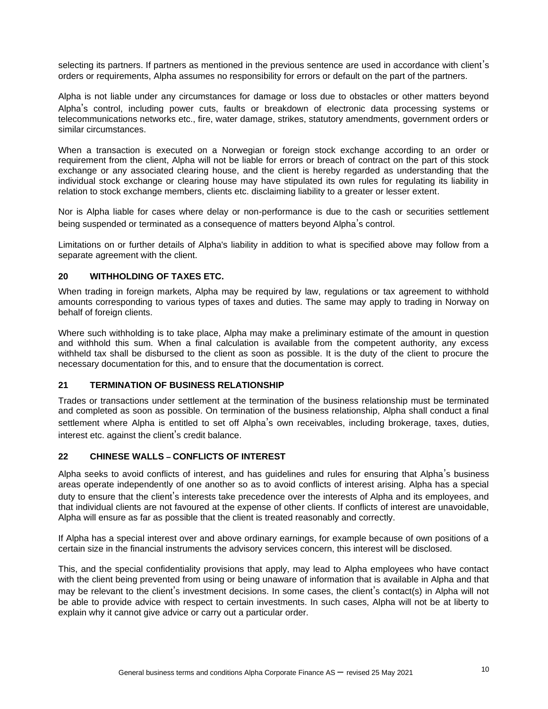selecting its partners. If partners as mentioned in the previous sentence are used in accordance with client's orders or requirements, Alpha assumes no responsibility for errors or default on the part of the partners.

Alpha is not liable under any circumstances for damage or loss due to obstacles or other matters beyond Alpha's control, including power cuts, faults or breakdown of electronic data processing systems or telecommunications networks etc., fire, water damage, strikes, statutory amendments, government orders or similar circumstances.

When a transaction is executed on a Norwegian or foreign stock exchange according to an order or requirement from the client, Alpha will not be liable for errors or breach of contract on the part of this stock exchange or any associated clearing house, and the client is hereby regarded as understanding that the individual stock exchange or clearing house may have stipulated its own rules for regulating its liability in relation to stock exchange members, clients etc. disclaiming liability to a greater or lesser extent.

Nor is Alpha liable for cases where delay or non-performance is due to the cash or securities settlement being suspended or terminated as a consequence of matters beyond Alpha's control.

Limitations on or further details of Alpha's liability in addition to what is specified above may follow from a separate agreement with the client.

# **20 WITHHOLDING OF TAXES ETC.**

When trading in foreign markets, Alpha may be required by law, regulations or tax agreement to withhold amounts corresponding to various types of taxes and duties. The same may apply to trading in Norway on behalf of foreign clients.

Where such withholding is to take place, Alpha may make a preliminary estimate of the amount in question and withhold this sum. When a final calculation is available from the competent authority, any excess withheld tax shall be disbursed to the client as soon as possible. It is the duty of the client to procure the necessary documentation for this, and to ensure that the documentation is correct.

#### **21 TERMINATION OF BUSINESS RELATIONSHIP**

Trades or transactions under settlement at the termination of the business relationship must be terminated and completed as soon as possible. On termination of the business relationship, Alpha shall conduct a final settlement where Alpha is entitled to set off Alpha's own receivables, including brokerage, taxes, duties, interest etc. against the client's credit balance.

#### **22 CHINESE WALLS – CONFLICTS OF INTEREST**

Alpha seeks to avoid conflicts of interest, and has guidelines and rules for ensuring that Alpha's business areas operate independently of one another so as to avoid conflicts of interest arising. Alpha has a special duty to ensure that the client's interests take precedence over the interests of Alpha and its employees, and that individual clients are not favoured at the expense of other clients. If conflicts of interest are unavoidable, Alpha will ensure as far as possible that the client is treated reasonably and correctly.

If Alpha has a special interest over and above ordinary earnings, for example because of own positions of a certain size in the financial instruments the advisory services concern, this interest will be disclosed.

This, and the special confidentiality provisions that apply, may lead to Alpha employees who have contact with the client being prevented from using or being unaware of information that is available in Alpha and that may be relevant to the client's investment decisions. In some cases, the client's contact(s) in Alpha will not be able to provide advice with respect to certain investments. In such cases, Alpha will not be at liberty to explain why it cannot give advice or carry out a particular order.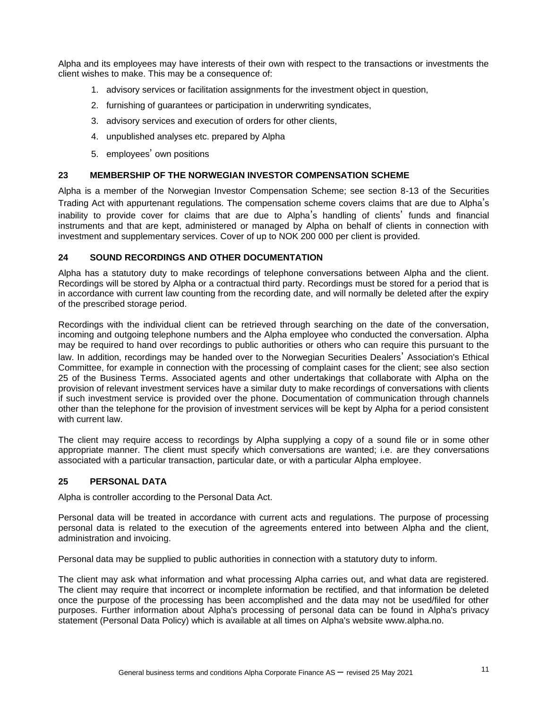Alpha and its employees may have interests of their own with respect to the transactions or investments the client wishes to make. This may be a consequence of:

- 1. advisory services or facilitation assignments for the investment object in question,
- 2. furnishing of guarantees or participation in underwriting syndicates,
- 3. advisory services and execution of orders for other clients,
- 4. unpublished analyses etc. prepared by Alpha
- 5. employees' own positions

#### **23 MEMBERSHIP OF THE NORWEGIAN INVESTOR COMPENSATION SCHEME**

Alpha is a member of the Norwegian Investor Compensation Scheme; see section 8-13 of the Securities Trading Act with appurtenant regulations. The compensation scheme covers claims that are due to Alpha's inability to provide cover for claims that are due to Alpha's handling of clients' funds and financial instruments and that are kept, administered or managed by Alpha on behalf of clients in connection with investment and supplementary services. Cover of up to NOK 200 000 per client is provided.

## **24 SOUND RECORDINGS AND OTHER DOCUMENTATION**

Alpha has a statutory duty to make recordings of telephone conversations between Alpha and the client. Recordings will be stored by Alpha or a contractual third party. Recordings must be stored for a period that is in accordance with current law counting from the recording date, and will normally be deleted after the expiry of the prescribed storage period.

Recordings with the individual client can be retrieved through searching on the date of the conversation, incoming and outgoing telephone numbers and the Alpha employee who conducted the conversation. Alpha may be required to hand over recordings to public authorities or others who can require this pursuant to the law. In addition, recordings may be handed over to the Norwegian Securities Dealers' Association's Ethical Committee, for example in connection with the processing of complaint cases for the client; see also section 25 of the Business Terms. Associated agents and other undertakings that collaborate with Alpha on the provision of relevant investment services have a similar duty to make recordings of conversations with clients if such investment service is provided over the phone. Documentation of communication through channels other than the telephone for the provision of investment services will be kept by Alpha for a period consistent with current law.

The client may require access to recordings by Alpha supplying a copy of a sound file or in some other appropriate manner. The client must specify which conversations are wanted; i.e. are they conversations associated with a particular transaction, particular date, or with a particular Alpha employee.

## **25 PERSONAL DATA**

Alpha is controller according to the Personal Data Act.

Personal data will be treated in accordance with current acts and regulations. The purpose of processing personal data is related to the execution of the agreements entered into between Alpha and the client, administration and invoicing.

Personal data may be supplied to public authorities in connection with a statutory duty to inform.

The client may ask what information and what processing Alpha carries out, and what data are registered. The client may require that incorrect or incomplete information be rectified, and that information be deleted once the purpose of the processing has been accomplished and the data may not be used/filed for other purposes. Further information about Alpha's processing of personal data can be found in Alpha's privacy statement (Personal Data Policy) which is available at all times on Alpha's website www.alpha.no.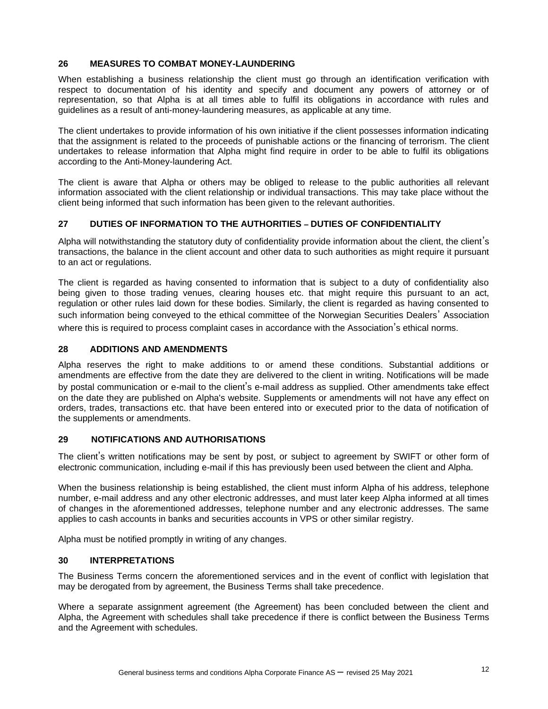# **26 MEASURES TO COMBAT MONEY-LAUNDERING**

When establishing a business relationship the client must go through an identification verification with respect to documentation of his identity and specify and document any powers of attorney or of representation, so that Alpha is at all times able to fulfil its obligations in accordance with rules and guidelines as a result of anti-money-laundering measures, as applicable at any time.

The client undertakes to provide information of his own initiative if the client possesses information indicating that the assignment is related to the proceeds of punishable actions or the financing of terrorism. The client undertakes to release information that Alpha might find require in order to be able to fulfil its obligations according to the Anti-Money-laundering Act.

The client is aware that Alpha or others may be obliged to release to the public authorities all relevant information associated with the client relationship or individual transactions. This may take place without the client being informed that such information has been given to the relevant authorities.

# **27 DUTIES OF INFORMATION TO THE AUTHORITIES – DUTIES OF CONFIDENTIALITY**

Alpha will notwithstanding the statutory duty of confidentiality provide information about the client, the client's transactions, the balance in the client account and other data to such authorities as might require it pursuant to an act or regulations.

The client is regarded as having consented to information that is subject to a duty of confidentiality also being given to those trading venues, clearing houses etc. that might require this pursuant to an act, regulation or other rules laid down for these bodies. Similarly, the client is regarded as having consented to such information being conveyed to the ethical committee of the Norwegian Securities Dealers' Association where this is required to process complaint cases in accordance with the Association's ethical norms.

## **28 ADDITIONS AND AMENDMENTS**

Alpha reserves the right to make additions to or amend these conditions. Substantial additions or amendments are effective from the date they are delivered to the client in writing. Notifications will be made by postal communication or e-mail to the client's e-mail address as supplied. Other amendments take effect on the date they are published on Alpha's website. Supplements or amendments will not have any effect on orders, trades, transactions etc. that have been entered into or executed prior to the data of notification of the supplements or amendments.

## **29 NOTIFICATIONS AND AUTHORISATIONS**

The client's written notifications may be sent by post, or subject to agreement by SWIFT or other form of electronic communication, including e-mail if this has previously been used between the client and Alpha.

When the business relationship is being established, the client must inform Alpha of his address, telephone number, e-mail address and any other electronic addresses, and must later keep Alpha informed at all times of changes in the aforementioned addresses, telephone number and any electronic addresses. The same applies to cash accounts in banks and securities accounts in VPS or other similar registry.

Alpha must be notified promptly in writing of any changes.

#### **30 INTERPRETATIONS**

The Business Terms concern the aforementioned services and in the event of conflict with legislation that may be derogated from by agreement, the Business Terms shall take precedence.

Where a separate assignment agreement (the Agreement) has been concluded between the client and Alpha, the Agreement with schedules shall take precedence if there is conflict between the Business Terms and the Agreement with schedules.